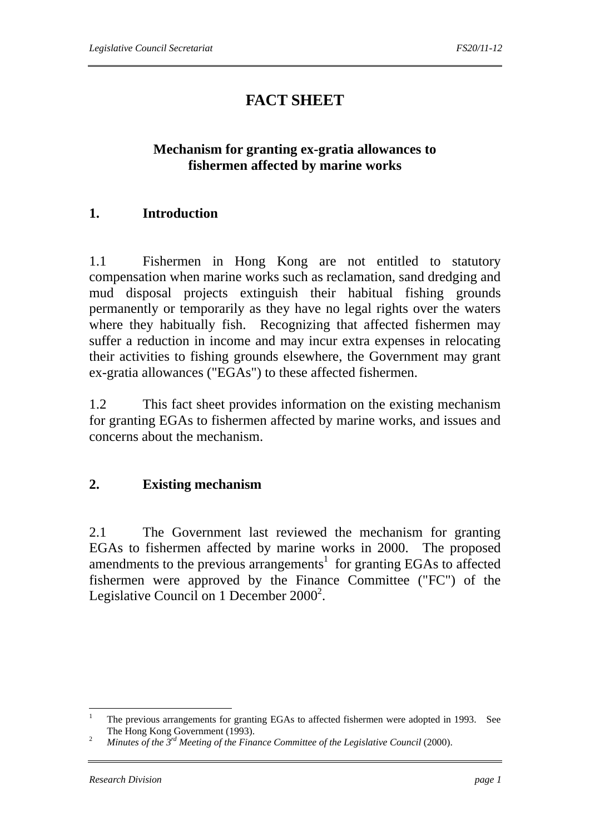# **FACT SHEET**

## **Mechanism for granting ex-gratia allowances to fishermen affected by marine works**

## **1. Introduction**

1.1 Fishermen in Hong Kong are not entitled to statutory compensation when marine works such as reclamation, sand dredging and mud disposal projects extinguish their habitual fishing grounds permanently or temporarily as they have no legal rights over the waters where they habitually fish. Recognizing that affected fishermen may suffer a reduction in income and may incur extra expenses in relocating their activities to fishing grounds elsewhere, the Government may grant ex-gratia allowances ("EGAs") to these affected fishermen.

1.2 This fact sheet provides information on the existing mechanism for granting EGAs to fishermen affected by marine works, and issues and concerns about the mechanism.

#### **2. Existing mechanism**

2.1 The Government last reviewed the mechanism for granting EGAs to fishermen affected by marine works in 2000. The proposed amendments to the previous arrangements<sup>1</sup> for granting EGAs to affected fishermen were approved by the Finance Committee ("FC") of the Legislative Council on 1 December  $2000^2$ .

 $\frac{1}{1}$  The previous arrangements for granting EGAs to affected fishermen were adopted in 1993. See The Hong Kong Government (1993).<br><sup>2</sup> *Minutes of the 3<sup>rd</sup> Meeting of the Finance Committee of the Legislative Council* (2000).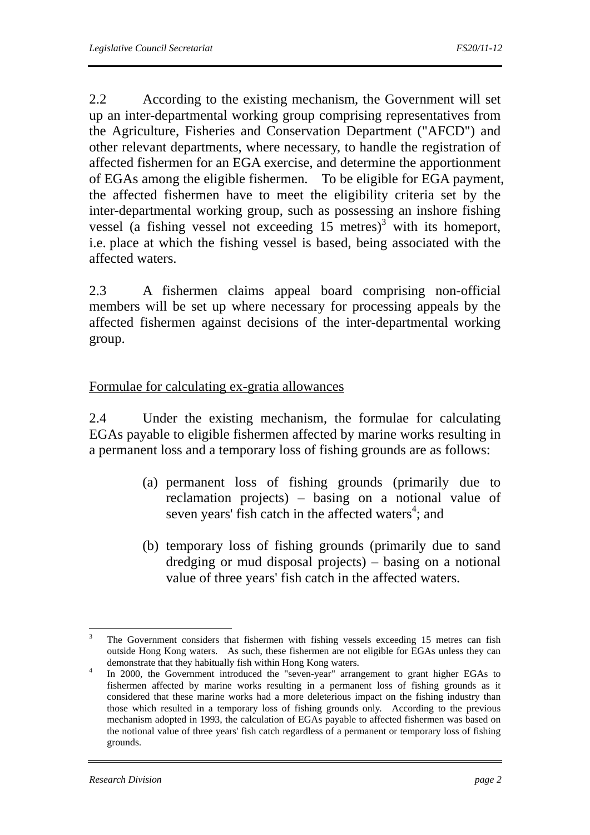2.2 According to the existing mechanism, the Government will set up an inter-departmental working group comprising representatives from the Agriculture, Fisheries and Conservation Department ("AFCD") and other relevant departments, where necessary, to handle the registration of affected fishermen for an EGA exercise, and determine the apportionment of EGAs among the eligible fishermen. To be eligible for EGA payment, the affected fishermen have to meet the eligibility criteria set by the inter-departmental working group, such as possessing an inshore fishing vessel (a fishing vessel not exceeding  $15$  metres)<sup>3</sup> with its homeport, i.e. place at which the fishing vessel is based, being associated with the affected waters.

2.3 A fishermen claims appeal board comprising non-official members will be set up where necessary for processing appeals by the affected fishermen against decisions of the inter-departmental working group.

#### Formulae for calculating ex-gratia allowances

2.4 Under the existing mechanism, the formulae for calculating EGAs payable to eligible fishermen affected by marine works resulting in a permanent loss and a temporary loss of fishing grounds are as follows:

- (a) permanent loss of fishing grounds (primarily due to reclamation projects) – basing on a notional value of seven years' fish catch in the affected waters<sup>4</sup>; and
- (b) temporary loss of fishing grounds (primarily due to sand dredging or mud disposal projects) – basing on a notional value of three years' fish catch in the affected waters.

 $\frac{1}{3}$  The Government considers that fishermen with fishing vessels exceeding 15 metres can fish outside Hong Kong waters. As such, these fishermen are not eligible for EGAs unless they can demonstrate that they habitually fish within Hong Kong waters.<br>4 The 2000, the Covernment introduced the "seven year" error

In 2000, the Government introduced the "seven-year" arrangement to grant higher EGAs to fishermen affected by marine works resulting in a permanent loss of fishing grounds as it considered that these marine works had a more deleterious impact on the fishing industry than those which resulted in a temporary loss of fishing grounds only. According to the previous mechanism adopted in 1993, the calculation of EGAs payable to affected fishermen was based on the notional value of three years' fish catch regardless of a permanent or temporary loss of fishing grounds.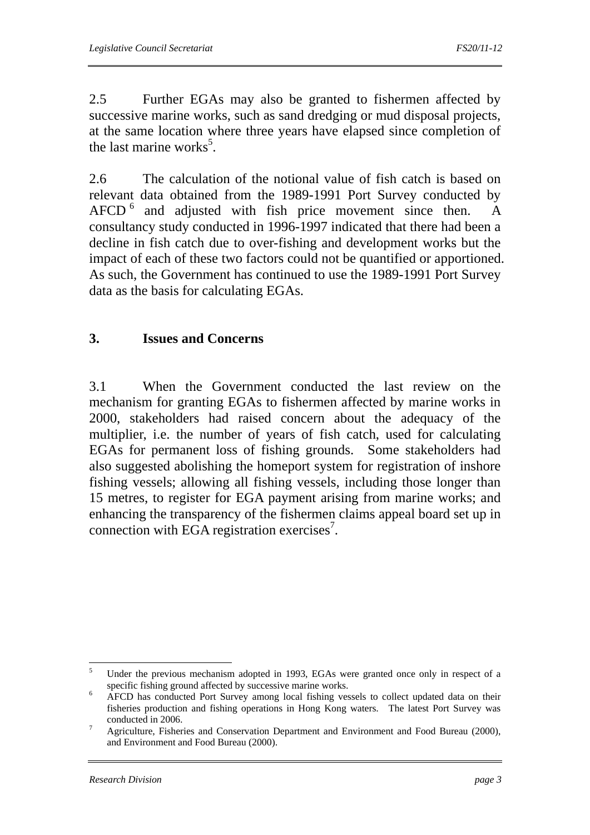2.5 Further EGAs may also be granted to fishermen affected by successive marine works, such as sand dredging or mud disposal projects, at the same location where three years have elapsed since completion of the last marine works<sup>5</sup>.

2.6 The calculation of the notional value of fish catch is based on relevant data obtained from the 1989-1991 Port Survey conducted by  $AFCD<sup>6</sup>$  and adjusted with fish price movement since then. A consultancy study conducted in 1996-1997 indicated that there had been a decline in fish catch due to over-fishing and development works but the impact of each of these two factors could not be quantified or apportioned. As such, the Government has continued to use the 1989-1991 Port Survey data as the basis for calculating EGAs.

# **3. Issues and Concerns**

3.1 When the Government conducted the last review on the mechanism for granting EGAs to fishermen affected by marine works in 2000, stakeholders had raised concern about the adequacy of the multiplier, i.e. the number of years of fish catch, used for calculating EGAs for permanent loss of fishing grounds. Some stakeholders had also suggested abolishing the homeport system for registration of inshore fishing vessels; allowing all fishing vessels, including those longer than 15 metres, to register for EGA payment arising from marine works; and enhancing the transparency of the fishermen claims appeal board set up in connection with EGA registration exercises<sup>7</sup>.

 $\frac{1}{5}$  Under the previous mechanism adopted in 1993, EGAs were granted once only in respect of a specific fishing ground affected by successive marine works.

AFCD has conducted Port Survey among local fishing vessels to collect updated data on their fisheries production and fishing operations in Hong Kong waters. The latest Port Survey was conducted in 2006.

Agriculture, Fisheries and Conservation Department and Environment and Food Bureau (2000), and Environment and Food Bureau (2000).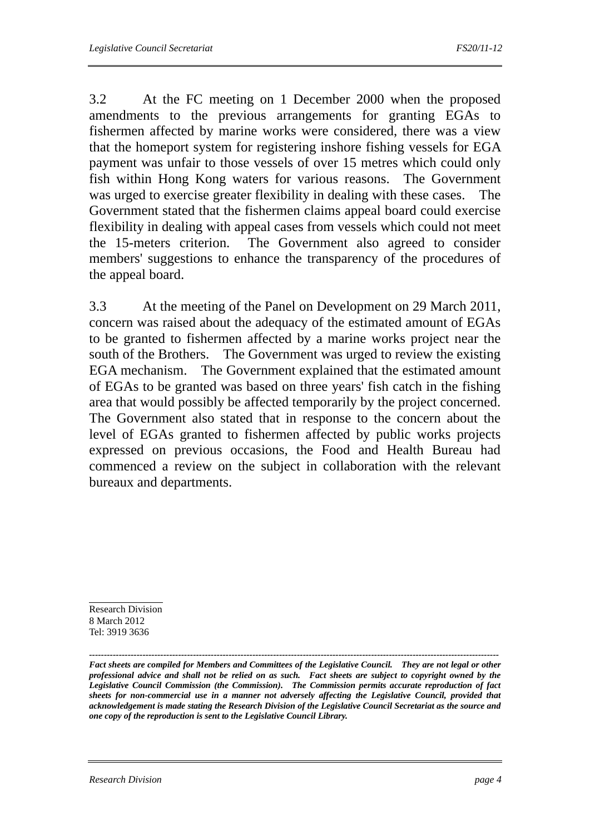3.2 At the FC meeting on 1 December 2000 when the proposed amendments to the previous arrangements for granting EGAs to fishermen affected by marine works were considered, there was a view that the homeport system for registering inshore fishing vessels for EGA payment was unfair to those vessels of over 15 metres which could only fish within Hong Kong waters for various reasons. The Government was urged to exercise greater flexibility in dealing with these cases. The Government stated that the fishermen claims appeal board could exercise flexibility in dealing with appeal cases from vessels which could not meet the 15-meters criterion. The Government also agreed to consider members' suggestions to enhance the transparency of the procedures of the appeal board.

3.3 At the meeting of the Panel on Development on 29 March 2011, concern was raised about the adequacy of the estimated amount of EGAs to be granted to fishermen affected by a marine works project near the south of the Brothers. The Government was urged to review the existing EGA mechanism. The Government explained that the estimated amount of EGAs to be granted was based on three years' fish catch in the fishing area that would possibly be affected temporarily by the project concerned. The Government also stated that in response to the concern about the level of EGAs granted to fishermen affected by public works projects expressed on previous occasions, the Food and Health Bureau had commenced a review on the subject in collaboration with the relevant bureaux and departments.

Research Division 8 March 2012 Tel: 3919 3636

*------------------------------------------------------------------------------------------------------------------------------------------ Fact sheets are compiled for Members and Committees of the Legislative Council. They are not legal or other professional advice and shall not be relied on as such. Fact sheets are subject to copyright owned by the Legislative Council Commission (the Commission). The Commission permits accurate reproduction of fact sheets for non-commercial use in a manner not adversely affecting the Legislative Council, provided that acknowledgement is made stating the Research Division of the Legislative Council Secretariat as the source and one copy of the reproduction is sent to the Legislative Council Library.*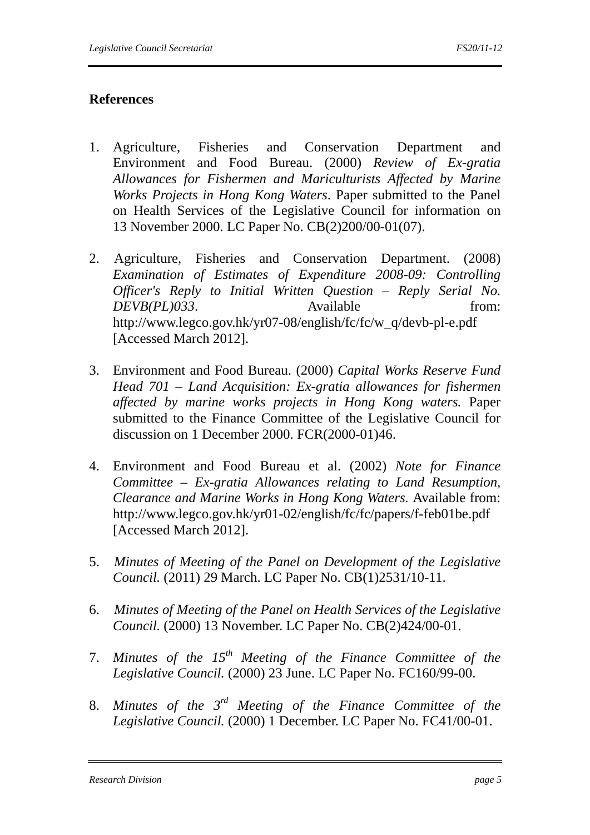#### **References**

- 1. Agriculture, Fisheries and Conservation Department and Environment and Food Bureau. (2000) *Review of Ex-gratia Allowances for Fishermen and Mariculturists Affected by Marine Works Projects in Hong Kong Waters*. Paper submitted to the Panel on Health Services of the Legislative Council for information on 13 November 2000. LC Paper No. CB(2)200/00-01(07).
- 2. Agriculture, Fisheries and Conservation Department. (2008) *Examination of Estimates of Expenditure 2008-09: Controlling Officer's Reply to Initial Written Question – Reply Serial No. DEVB(PL)033*. Available from: http://www.legco.gov.hk/yr07-08/english/fc/fc/w\_q/devb-pl-e.pdf [Accessed March 2012].
- 3. Environment and Food Bureau. (2000) *Capital Works Reserve Fund Head 701 – Land Acquisition: Ex-gratia allowances for fishermen affected by marine works projects in Hong Kong waters.* Paper submitted to the Finance Committee of the Legislative Council for discussion on 1 December 2000. FCR(2000-01)46.
- 4. Environment and Food Bureau et al. (2002) *Note for Finance Committee – Ex-gratia Allowances relating to Land Resumption, Clearance and Marine Works in Hong Kong Waters.* Available from: http://www.legco.gov.hk/yr01-02/english/fc/fc/papers/f-feb01be.pdf [Accessed March 2012].
- 5. *Minutes of Meeting of the Panel on Development of the Legislative Council.* (2011) 29 March. LC Paper No. CB(1)2531/10-11.
- 6. *Minutes of Meeting of the Panel on Health Services of the Legislative Council.* (2000) 13 November. LC Paper No. CB(2)424/00-01.
- 7. *Minutes of the 15th Meeting of the Finance Committee of the Legislative Council.* (2000) 23 June. LC Paper No. FC160/99-00.
- 8. *Minutes of the 3rd Meeting of the Finance Committee of the Legislative Council.* (2000) 1 December. LC Paper No. FC41/00-01.